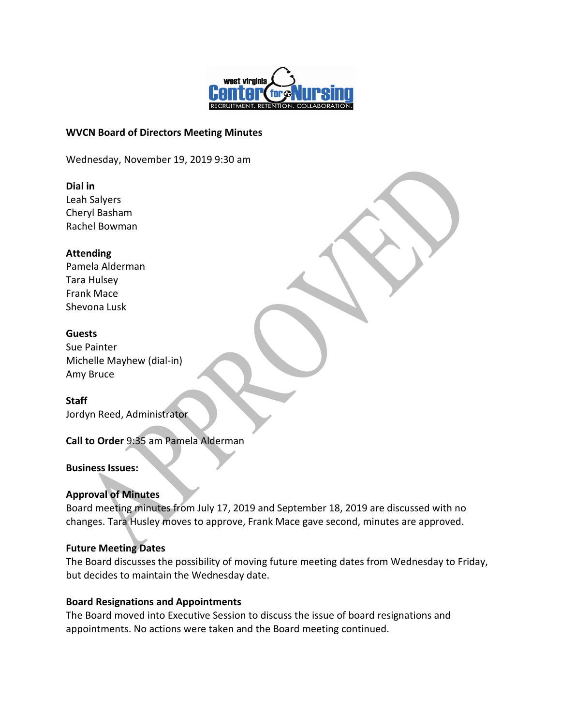

#### **WVCN Board of Directors Meeting Minutes**

Wednesday, November 19, 2019 9:30 am

#### **Dial in**

Leah Salyers Cheryl Basham Rachel Bowman

### **Attending**

Pamela Alderman Tara Hulsey Frank Mace Shevona Lusk

### **Guests**

Sue Painter Michelle Mayhew (dial-in) Amy Bruce

**Staff** Jordyn Reed, Administrator

# **Call to Order** 9:35 am Pamela Alderman

# **Business Issues:**

# **Approval of Minutes**

Board meeting minutes from July 17, 2019 and September 18, 2019 are discussed with no changes. Tara Husley moves to approve, Frank Mace gave second, minutes are approved.

#### **Future Meeting Dates**

The Board discusses the possibility of moving future meeting dates from Wednesday to Friday, but decides to maintain the Wednesday date.

#### **Board Resignations and Appointments**

The Board moved into Executive Session to discuss the issue of board resignations and appointments. No actions were taken and the Board meeting continued.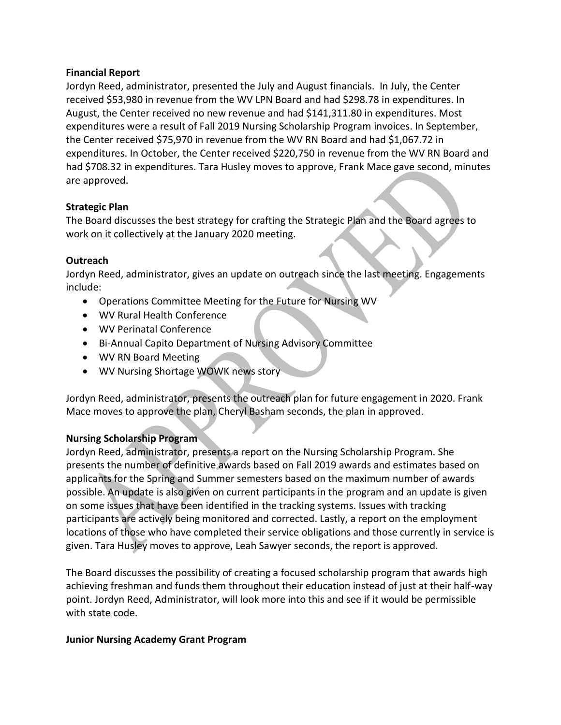### **Financial Report**

Jordyn Reed, administrator, presented the July and August financials. In July, the Center received \$53,980 in revenue from the WV LPN Board and had \$298.78 in expenditures. In August, the Center received no new revenue and had \$141,311.80 in expenditures. Most expenditures were a result of Fall 2019 Nursing Scholarship Program invoices. In September, the Center received \$75,970 in revenue from the WV RN Board and had \$1,067.72 in expenditures. In October, the Center received \$220,750 in revenue from the WV RN Board and had \$708.32 in expenditures. Tara Husley moves to approve, Frank Mace gave second, minutes are approved.

### **Strategic Plan**

The Board discusses the best strategy for crafting the Strategic Plan and the Board agrees to work on it collectively at the January 2020 meeting.

### **Outreach**

Jordyn Reed, administrator, gives an update on outreach since the last meeting. Engagements include:

- Operations Committee Meeting for the Future for Nursing WV
- WV Rural Health Conference
- WV Perinatal Conference
- Bi-Annual Capito Department of Nursing Advisory Committee
- WV RN Board Meeting
- WV Nursing Shortage WOWK news story

Jordyn Reed, administrator, presents the outreach plan for future engagement in 2020. Frank Mace moves to approve the plan, Cheryl Basham seconds, the plan in approved.

# **Nursing Scholarship Program**

Jordyn Reed, administrator, presents a report on the Nursing Scholarship Program. She presents the number of definitive awards based on Fall 2019 awards and estimates based on applicants for the Spring and Summer semesters based on the maximum number of awards possible. An update is also given on current participants in the program and an update is given on some issues that have been identified in the tracking systems. Issues with tracking participants are actively being monitored and corrected. Lastly, a report on the employment locations of those who have completed their service obligations and those currently in service is given. Tara Husley moves to approve, Leah Sawyer seconds, the report is approved.

The Board discusses the possibility of creating a focused scholarship program that awards high achieving freshman and funds them throughout their education instead of just at their half-way point. Jordyn Reed, Administrator, will look more into this and see if it would be permissible with state code.

#### **Junior Nursing Academy Grant Program**